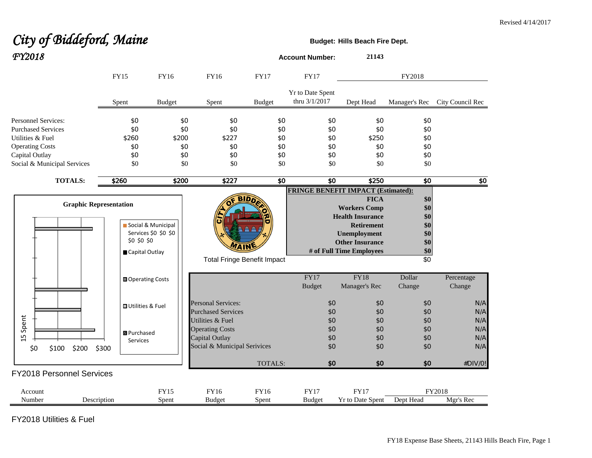## City of Biddeford, Maine **Budget: Budget:** Hills Beach Fire Dept. *FY2018* **Account Number: <sup>21143</sup>**

|                                  | <b>FY15</b>                  | FY16                 | <b>FY16</b>                        | <b>FY17</b>    | <b>FY17</b>                       | FY2018                                    |                        |                  |
|----------------------------------|------------------------------|----------------------|------------------------------------|----------------|-----------------------------------|-------------------------------------------|------------------------|------------------|
|                                  | Spent                        | <b>Budget</b>        | Spent                              | <b>Budget</b>  | Yr to Date Spent<br>thru 3/1/2017 | Dept Head                                 | Manager's Rec          | City Council Rec |
| Personnel Services:              | \$0                          | \$0                  | \$0                                | \$0            | \$0                               | \$0                                       | \$0                    |                  |
| <b>Purchased Services</b>        | \$0                          | \$0                  | \$0                                | \$0            | \$0                               | \$0                                       | \$0                    |                  |
| Utilities & Fuel                 | \$260                        | \$200                | \$227                              | \$0            | \$0                               | \$250                                     | \$0                    |                  |
| <b>Operating Costs</b>           | \$0                          | \$0                  | \$0                                | \$0            | \$0                               | \$0                                       | \$0                    |                  |
| Capital Outlay                   | \$0                          | \$0                  | \$0                                | \$0            | \$0                               | \$0                                       | \$0                    |                  |
| Social & Municipal Services      | \$0                          | \$0                  | \$0                                | \$0            | \$0                               | \$0                                       | \$0                    |                  |
| <b>TOTALS:</b>                   | \$260                        | \$200                | \$227                              | \$0            | $\overline{30}$                   | \$250                                     | $\overline{30}$        | \$0              |
|                                  |                              |                      |                                    |                |                                   | <b>FRINGE BENEFIT IMPACT (Estimated):</b> |                        |                  |
|                                  |                              |                      | віл                                |                |                                   | <b>FICA</b>                               | \$0                    |                  |
| <b>Graphic Representation</b>    |                              |                      |                                    |                |                                   | <b>Workers Comp</b>                       | \$0                    |                  |
|                                  |                              |                      |                                    |                |                                   | <b>Health Insurance</b>                   | \$0                    |                  |
|                                  |                              | Social & Municipal   |                                    |                |                                   | <b>Retirement</b>                         | \$0                    |                  |
|                                  |                              | Services \$0 \$0 \$0 |                                    |                |                                   | Unemployment                              | \$0                    |                  |
|                                  | \$0 \$0 \$0                  |                      | <b>7AIN</b>                        |                |                                   | <b>Other Insurance</b>                    | \$0                    |                  |
|                                  | Capital Outlay               |                      |                                    |                |                                   | # of Full Time Employees                  | \$0<br>$\overline{60}$ |                  |
|                                  |                              |                      | <b>Total Fringe Benefit Impact</b> |                |                                   |                                           |                        |                  |
|                                  | Operating Costs              |                      |                                    |                | FY17                              | <b>FY18</b>                               | Dollar                 | Percentage       |
|                                  |                              |                      |                                    |                | <b>Budget</b>                     | Manager's Rec                             | Change                 | Change           |
|                                  | <b>OUtilities &amp; Fuel</b> |                      | <b>Personal Services:</b>          |                | \$0                               | \$0                                       | \$0                    | N/A              |
|                                  |                              |                      | <b>Purchased Services</b>          |                | \$0                               | \$0                                       | \$0                    | N/A              |
| Spent                            |                              |                      | Utilities & Fuel                   |                | \$0                               | \$0                                       | \$0                    | N/A              |
|                                  | <b>B</b> Purchased           |                      | <b>Operating Costs</b>             |                | \$0                               | \$0                                       | \$0                    | N/A              |
| 15                               | Services                     |                      | Capital Outlay                     |                | \$0                               | \$0                                       | \$0                    | N/A              |
| \$200<br>\$0<br>\$100<br>\$300   |                              |                      | Social & Municipal Serivices       |                | \$0                               | \$0                                       | \$0                    | N/A              |
|                                  |                              |                      |                                    | <b>TOTALS:</b> | \$0                               | \$0                                       | \$0                    | #DIV/0!          |
| <b>FY2018 Personnel Services</b> |                              |                      |                                    |                |                                   |                                           |                        |                  |
| Account                          |                              | FY15                 | FY16                               | FY16           | FY17                              | <b>FY17</b>                               |                        | FY2018           |
| Number<br>Description            |                              | Spent                | <b>Budget</b>                      | Spent          | <b>Budget</b>                     | Yr to Date Spent                          | Dept Head              | Mgr's Rec        |

FY2018 Utilities & Fuel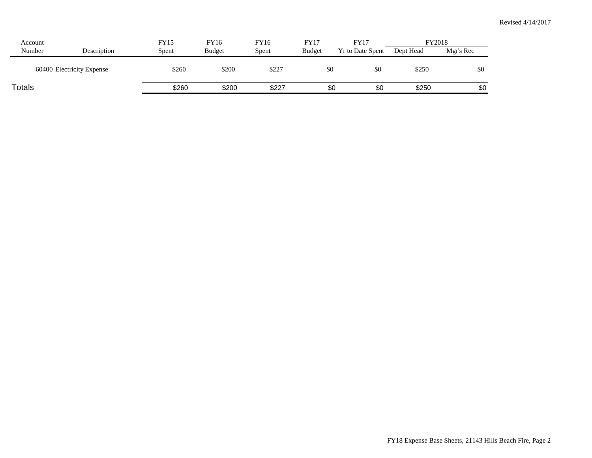| Account |                           | FY15  | FY16          | FY16  | FY17   | FY17                    |           | FY2018    |
|---------|---------------------------|-------|---------------|-------|--------|-------------------------|-----------|-----------|
| Number  | Description               | Spent | <b>Budget</b> | Spent | Budget | <b>Yr to Date Spent</b> | Dept Head | Mgr's Rec |
|         | 60400 Electricity Expense | \$260 | \$200         | \$227 | \$0    | \$0                     | \$250     | \$0       |
| Totals  |                           | \$260 | \$200         | \$227 | \$0    | \$0                     | \$250     | \$0       |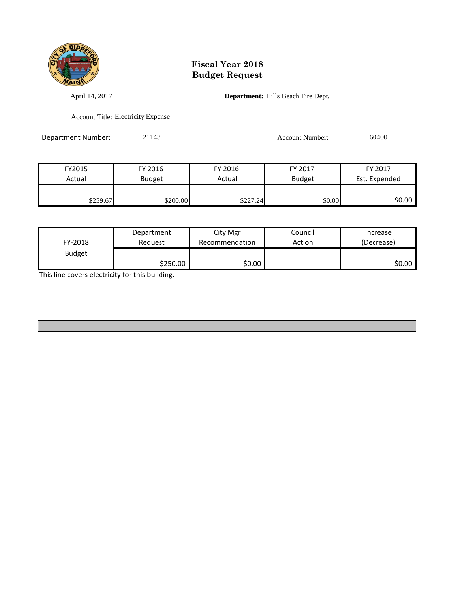

## **Fiscal Year 2018 Budget Request**

April 14, 2017 **Department:** Hills Beach Fire Dept.

Account Title: Electricity Expense

Department Number: 21143 21143 Account Number: 60400

| FY2015                  | FY 2016  | FY 2016  | FY 2017       | FY 2017       |
|-------------------------|----------|----------|---------------|---------------|
| Actual<br><b>Budget</b> |          | Actual   | <b>Budget</b> | Est. Expended |
|                         |          |          |               |               |
| \$259.67                | \$200.00 | \$227.24 | \$0.00        | ا 0.00\$      |

| FY-2018       | Department | City Mgr       | Council | Increase   |
|---------------|------------|----------------|---------|------------|
|               | Reauest    | Recommendation | Action  | (Decrease) |
| <b>Budget</b> | \$250.00   | \$0.00         |         | ا 50.00    |

This line covers electricity for this building.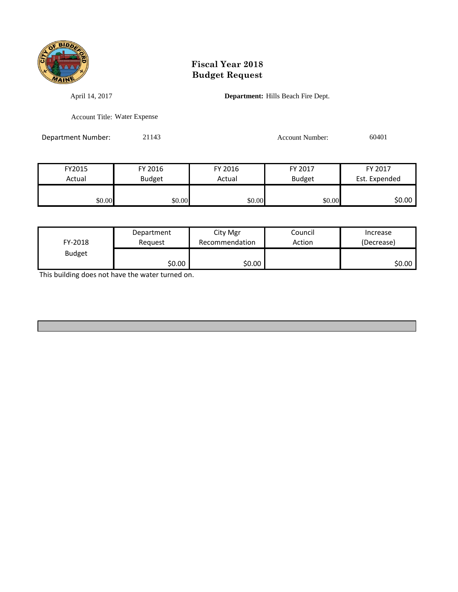

## **Fiscal Year 2018 Budget Request**

April 14, 2017 **Department:** Hills Beach Fire Dept.

Account Title: Water Expense

Department Number: 21143 Account Number: 60401

| FY2015                  | FY 2016 | FY 2016 | FY 2017       | FY 2017       |
|-------------------------|---------|---------|---------------|---------------|
| <b>Budget</b><br>Actual |         | Actual  | <b>Budget</b> | Est. Expended |
|                         |         |         |               |               |
| \$0.00                  | \$0.00  | \$0.00  | \$0.00        | \$0.00        |

| FY-2018       | Department | City Mgr       | Council | Increase   |
|---------------|------------|----------------|---------|------------|
|               | Reauest    | Recommendation | Action  | (Decrease) |
| <b>Budget</b> | \$0.00     | \$0.00         |         | \$0.00∣    |

This building does not have the water turned on.